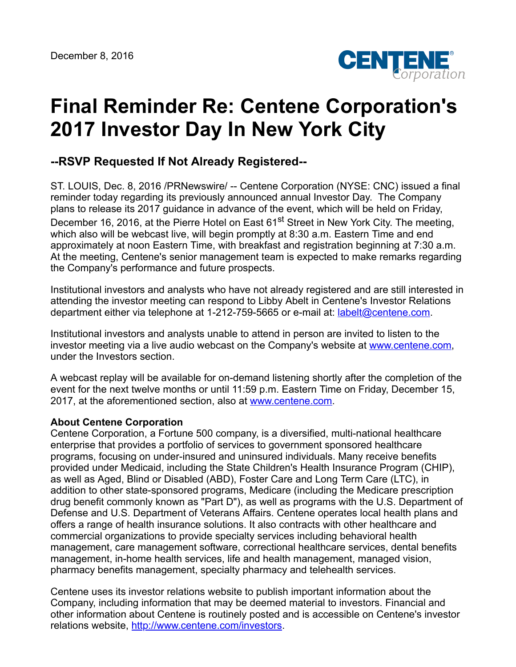

## **Final Reminder Re: Centene Corporation's 2017 Investor Day In New York City**

## **--RSVP Requested If Not Already Registered--**

ST. LOUIS, Dec. 8, 2016 /PRNewswire/ -- Centene Corporation (NYSE: CNC) issued a final reminder today regarding its previously announced annual Investor Day. The Company plans to release its 2017 guidance in advance of the event, which will be held on Friday, December 16, 2016, at the Pierre Hotel on East 61<sup>st</sup> Street in New York City. The meeting, which also will be webcast live, will begin promptly at 8:30 a.m. Eastern Time and end approximately at noon Eastern Time, with breakfast and registration beginning at 7:30 a.m. At the meeting, Centene's senior management team is expected to make remarks regarding the Company's performance and future prospects.

Institutional investors and analysts who have not already registered and are still interested in attending the investor meeting can respond to Libby Abelt in Centene's Investor Relations department either via telephone at 1-212-759-5665 or e-mail at: [labelt@centene.com.](mailto:labelt@centene.com)

Institutional investors and analysts unable to attend in person are invited to listen to the investor meeting via a live audio webcast on the Company's website at [www.centene.com,](http://www.centene.com/) under the Investors section.

A webcast replay will be available for on-demand listening shortly after the completion of the event for the next twelve months or until 11:59 p.m. Eastern Time on Friday, December 15, 2017, at the aforementioned section, also at [www.centene.com](http://www.centene.com/).

## **About Centene Corporation**

Centene Corporation, a Fortune 500 company, is a diversified, multi-national healthcare enterprise that provides a portfolio of services to government sponsored healthcare programs, focusing on under-insured and uninsured individuals. Many receive benefits provided under Medicaid, including the State Children's Health Insurance Program (CHIP), as well as Aged, Blind or Disabled (ABD), Foster Care and Long Term Care (LTC), in addition to other state-sponsored programs, Medicare (including the Medicare prescription drug benefit commonly known as "Part D"), as well as programs with the U.S. Department of Defense and U.S. Department of Veterans Affairs. Centene operates local health plans and offers a range of health insurance solutions. It also contracts with other healthcare and commercial organizations to provide specialty services including behavioral health management, care management software, correctional healthcare services, dental benefits management, in-home health services, life and health management, managed vision, pharmacy benefits management, specialty pharmacy and telehealth services.

Centene uses its investor relations website to publish important information about the Company, including information that may be deemed material to investors. Financial and other information about Centene is routinely posted and is accessible on Centene's investor relations website, <http://www.centene.com/investors>.